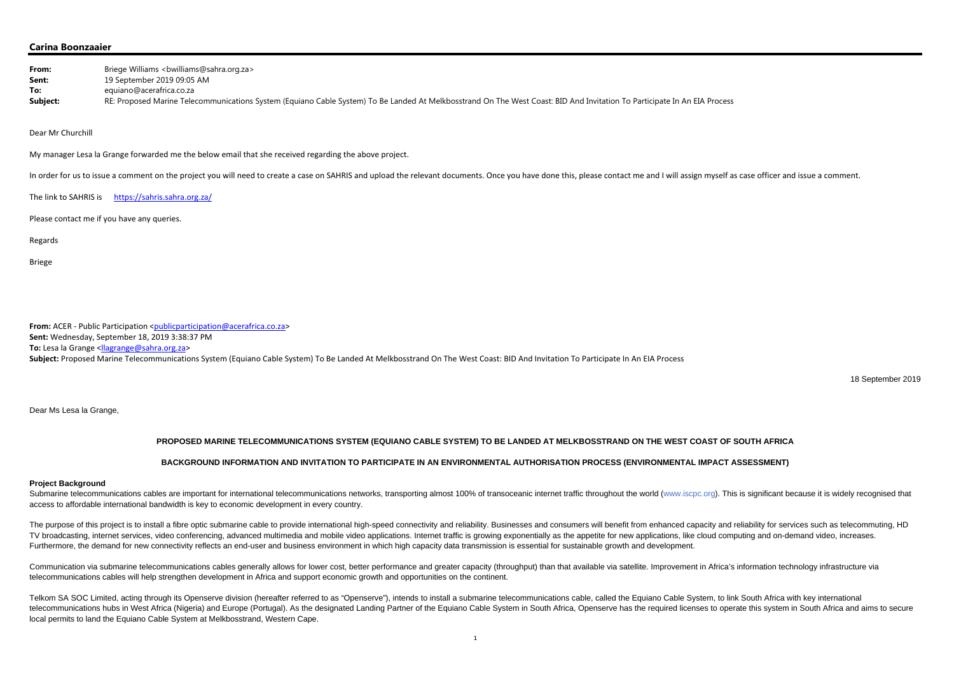### **Carina Boonzaaier**

| From:    | Briege Williams <bwilliams@sahra.org.za></bwilliams@sahra.org.za>                                                                                                         |
|----------|---------------------------------------------------------------------------------------------------------------------------------------------------------------------------|
| Sent:    | 19 September 2019 09:05 AM                                                                                                                                                |
| To:      | equiano@acerafrica.co.za                                                                                                                                                  |
| Subject: | RE: Proposed Marine Telecommunications System (Equiano Cable System) To Be Landed At Melkbosstrand On The West Coast: BID And Invitation To Participate In An EIA Process |

Dear Mr Churchill

My manager Lesa la Grange forwarded me the below email that she received regarding the above project.

In order for us to issue a comment on the project you will need to create a case on SAHRIS and upload the relevant documents. Once you have done this, please contact me and I will assign myself as case officer and issue a

The link to SAHRIS is https://sahris.sahra.org.za/

Please contact me if you have any queries.

Regards

Briege

Submarine telecommunications cables are important for international telecommunications networks, transporting almost 100% of transoceanic internet traffic throughout the world (www.iscpc.org). This is significant because i access to affordable international bandwidth is key to economic development in every country.

**From:** ACER ‐ Public Participation <publicparticipation@acerafrica.co.za> **Sent:** Wednesday, September 18, 2019 3:38:37 PM **To:** Lesa la Grange <<u>llagrange@sahra.org.za</u>> **Subject:** Proposed Marine Telecommunications System (Equiano Cable System) To Be Landed At Melkbosstrand On The West Coast: BID And Invitation To Participate In An EIA Process

18 September 2019

Dear Ms Lesa la Grange,

# **PROPOSED MARINE TELECOMMUNICATIONS SYSTEM (EQUIANO CABLE SYSTEM) TO BE LANDED AT MELKBOSSTRAND ON THE WEST COAST OF SOUTH AFRICA**

The purpose of this project is to install a fibre optic submarine cable to provide international high-speed connectivity and reliability. Businesses and consumers will benefit from enhanced capacity and reliability for ser TV broadcasting, internet services, video conferencing, advanced multimedia and mobile video applications. Internet traffic is growing exponentially as the appetite for new applications, like cloud computing and on-demand Furthermore, the demand for new connectivity reflects an end-user and business environment in which high capacity data transmission is essential for sustainable growth and development.

## **BACKGROUND INFORMATION AND INVITATION TO PARTICIPATE IN AN ENVIRONMENTAL AUTHORISATION PROCESS (ENVIRONMENTAL IMPACT ASSESSMENT)**

Communication via submarine telecommunications cables generally allows for lower cost, better performance and greater capacity (throughput) than that available via satellite. Improvement in Africa's information technology telecommunications cables will help strengthen development in Africa and support economic growth and opportunities on the continent.

#### **Project Background**

Telkom SA SOC Limited, acting through its Openserve division (hereafter referred to as "Openserve"), intends to install a submarine telecommunications cable, called the Equiano Cable System, to link South Africa with key i telecommunications hubs in West Africa (Nigeria) and Europe (Portugal). As the designated Landing Partner of the Equiano Cable System in South Africa, Openserve has the required licenses to operate this system in South Afr local permits to land the Equiano Cable System at Melkbosstrand, Western Cape.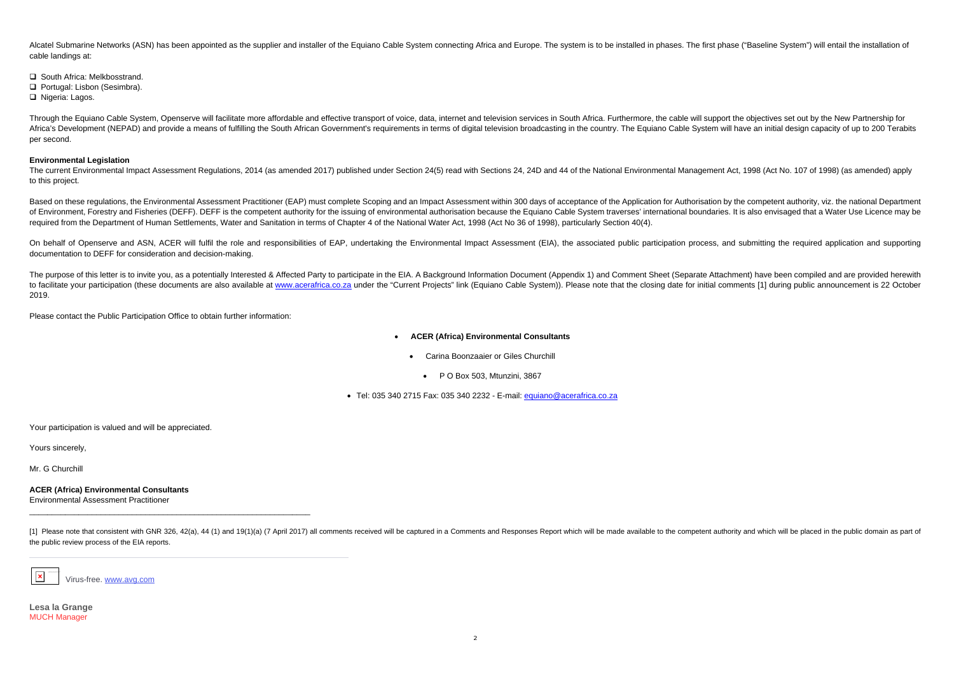Alcatel Submarine Networks (ASN) has been appointed as the supplier and installer of the Equiano Cable System connecting Africa and Europe. The system is to be installed in phases. The first phase ("Baseline System") will cable landings at:

**□** South Africa: Melkbosstrand.

**□ Portugal: Lisbon (Sesimbra).** 

□ Nigeria: Lagos.

Through the Equiano Cable System, Openserve will facilitate more affordable and effective transport of voice, data, internet and television services in South Africa. Furthermore, the cable will support the objectives set o Africa's Development (NEPAD) and provide a means of fulfilling the South African Government's requirements in terms of digital television broadcasting in the country. The Equiano Cable System will have an initial design ca per second.

The current Environmental Impact Assessment Regulations, 2014 (as amended 2017) published under Section 24(5) read with Sections 24, 24D and 44 of the National Environmental Management Act, 1998 (Act No. 107 of 1998) (as a to this project.

#### **Environmental Legislation**

Based on these regulations, the Environmental Assessment Practitioner (EAP) must complete Scoping and an Impact Assessment within 300 days of acceptance of the Application for Authorisation by the competent authority, viz. of Environment, Forestry and Fisheries (DEFF). DEFF is the competent authority for the issuing of environmental authorisation because the Equiano Cable System traverses' international boundaries. It is also envisaged that required from the Department of Human Settlements, Water and Sanitation in terms of Chapter 4 of the National Water Act, 1998 (Act No 36 of 1998), particularly Section 40(4).

On behalf of Openserve and ASN, ACER will fulfil the role and responsibilities of EAP, undertaking the Environmental Impact Assessment (EIA), the associated public participation process, and submitting the required applica documentation to DEFF for consideration and decision-making.

The purpose of this letter is to invite you, as a potentially Interested & Affected Party to participate in the EIA. A Background Information Document (Appendix 1) and Comment Sheet (Separate Attachment) have been compiled to facilitate your participation (these documents are also available at www.acerafrica.co.za under the "Current Projects" link (Equiano Cable System)). Please note that the closing date for initial comments [1] during publ 2019.

- $\bullet$  **ACER (Africa) Environmental Consultants** 
	- $\bullet$  Carina Boonzaaier or Giles Churchill
		- P O Box 503, Mtunzini, 3867

● Tel: 035 340 2715 Fax: 035 340 2232 - E-mail: <u>equiano@acerafrica.co.za</u>

[1] Please note that consistent with GNR 326, 42(a), 44 (1) and 19(1)(a) (7 April 2017) all comments received will be captured in a Comments and Responses Report which will be made available to the competent authority and the public review process of the EIA reports.

Please contact the Public Participation Office to obtain further information:

Your participation is valued and will be appreciated.

Yours sincerely,

Mr. G Churchill

**ACER (Africa) Environmental Consultants**  Environmental Assessment Practitioner



Virus-free. www.avg.com

**Lesa la Grange** MUCH Manager